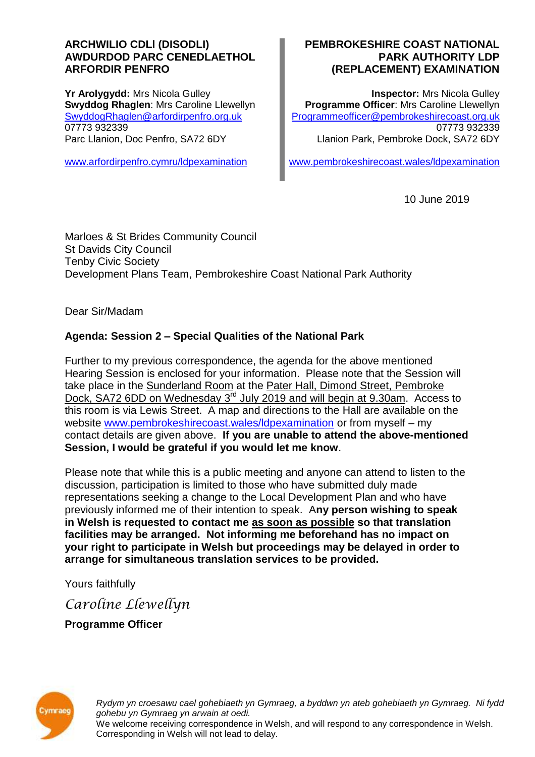### **ARCHWILIO CDLl (DISODLI) AWDURDOD PARC CENEDLAETHOL ARFORDIR PENFRO**

**Yr Arolygydd:** Mrs Nicola Gulley **Swyddog Rhaglen**: Mrs Caroline Llewellyn [SwyddogRhaglen@arfordirpenfro.org.uk](mailto:SwyddogRhaglen@arfordirpenfro.org.uk) 07773 932339 Parc Llanion, Doc Penfro, SA72 6DY

[www.arfordirpenfro.cymru/ldpexamination](https://www.arfordirpenfro.cymru/ldpexamination)

### **PEMBROKESHIRE COAST NATIONAL PARK AUTHORITY LDP (REPLACEMENT) EXAMINATION**

**Inspector:** Mrs Nicola Gulley **Programme Officer**: Mrs Caroline Llewellyn [Programmeofficer@pembrokeshirecoast.org.uk](mailto:Programmeofficer@pembrokeshirecoast.org.uk) 07773 932339 Llanion Park, Pembroke Dock, SA72 6DY

[www.pembrokeshirecoast.wales/ldpexamination](https://www.pembrokeshirecoast.wales/ldpexamination)

10 June 2019

Marloes & St Brides Community Council St Davids City Council Tenby Civic Society Development Plans Team, Pembrokeshire Coast National Park Authority

Dear Sir/Madam

# **Agenda: Session 2 – Special Qualities of the National Park**

Further to my previous correspondence, the agenda for the above mentioned Hearing Session is enclosed for your information. Please note that the Session will take place in the Sunderland Room at the Pater Hall, Dimond Street, Pembroke Dock, SA72 6DD on Wednesday 3<sup>rd</sup> July 2019 and will begin at 9.30am. Access to this room is via Lewis Street. A map and directions to the Hall are available on the website [www.pembrokeshirecoast.wales/ldpexamination](https://www.pembrokeshirecoast.wales/ldpexamination) or from myself – my contact details are given above. **If you are unable to attend the above-mentioned Session, I would be grateful if you would let me know**.

Please note that while this is a public meeting and anyone can attend to listen to the discussion, participation is limited to those who have submitted duly made representations seeking a change to the Local Development Plan and who have previously informed me of their intention to speak. A**ny person wishing to speak in Welsh is requested to contact me as soon as possible so that translation facilities may be arranged. Not informing me beforehand has no impact on your right to participate in Welsh but proceedings may be delayed in order to arrange for simultaneous translation services to be provided.**

Yours faithfully

*Caroline Llewellyn*

**Programme Officer**



*Rydym yn croesawu cael gohebiaeth yn Gymraeg, a byddwn yn ateb gohebiaeth yn Gymraeg. Ni fydd gohebu yn Gymraeg yn arwain at oedi.* We welcome receiving correspondence in Welsh, and will respond to any correspondence in Welsh. Corresponding in Welsh will not lead to delay.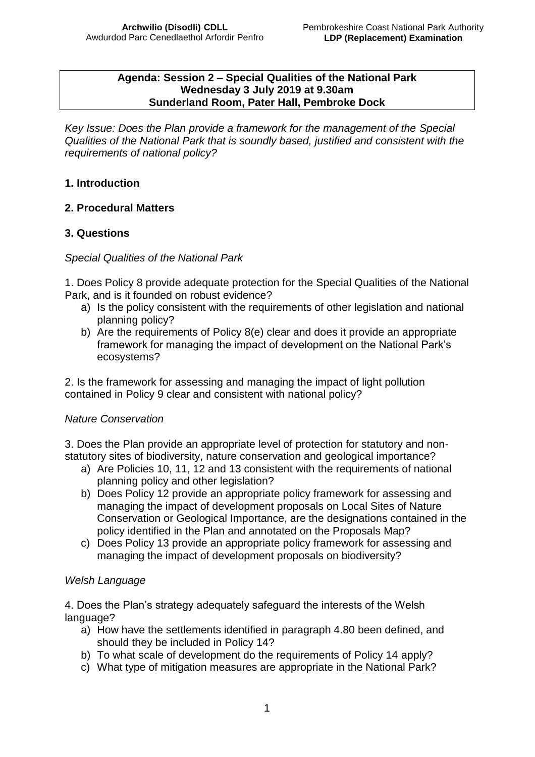#### **Agenda: Session 2 – Special Qualities of the National Park Wednesday 3 July 2019 at 9.30am Sunderland Room, Pater Hall, Pembroke Dock**

*Key Issue: Does the Plan provide a framework for the management of the Special Qualities of the National Park that is soundly based, justified and consistent with the requirements of national policy?*

## **1. Introduction**

### **2. Procedural Matters**

### **3. Questions**

*Special Qualities of the National Park*

1. Does Policy 8 provide adequate protection for the Special Qualities of the National Park, and is it founded on robust evidence?

- a) Is the policy consistent with the requirements of other legislation and national planning policy?
- b) Are the requirements of Policy 8(e) clear and does it provide an appropriate framework for managing the impact of development on the National Park's ecosystems?

2. Is the framework for assessing and managing the impact of light pollution contained in Policy 9 clear and consistent with national policy?

### *Nature Conservation*

3. Does the Plan provide an appropriate level of protection for statutory and nonstatutory sites of biodiversity, nature conservation and geological importance?

- a) Are Policies 10, 11, 12 and 13 consistent with the requirements of national planning policy and other legislation?
- b) Does Policy 12 provide an appropriate policy framework for assessing and managing the impact of development proposals on Local Sites of Nature Conservation or Geological Importance, are the designations contained in the policy identified in the Plan and annotated on the Proposals Map?
- c) Does Policy 13 provide an appropriate policy framework for assessing and managing the impact of development proposals on biodiversity?

## *Welsh Language*

4. Does the Plan's strategy adequately safeguard the interests of the Welsh language?

- a) How have the settlements identified in paragraph 4.80 been defined, and should they be included in Policy 14?
- b) To what scale of development do the requirements of Policy 14 apply?
- c) What type of mitigation measures are appropriate in the National Park?